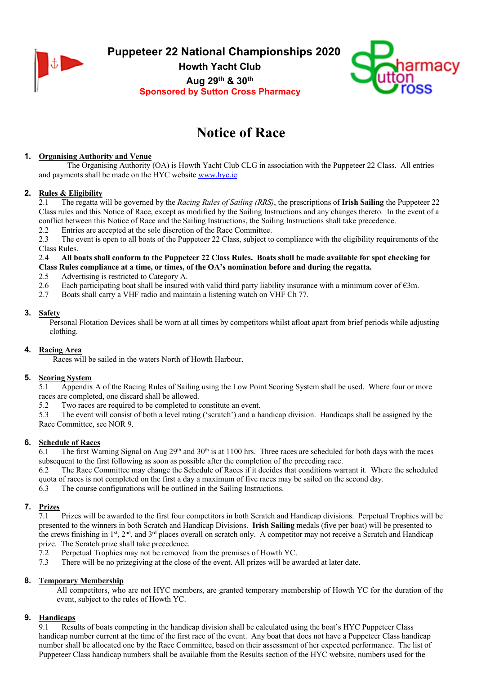

**Puppeteer 22 National Championships 2020**

**Howth Yacht Club Aug 29th & 30th Sponsored by Sutton Cross Pharmacy**



# **Notice of Race**

# **1. Organising Authority and Venue**

The Organising Authority (OA) is Howth Yacht Club CLG in association with the Puppeteer 22 Class. All entries and payments shall be made on the HYC website www.hyc.ie

## **2. Rules & Eligibility**

2.1 The regatta will be governed by the *Racing Rules of Sailing (RRS)*, the prescriptions of **Irish Sailing** the Puppeteer 22 Class rules and this Notice of Race, except as modified by the Sailing Instructions and any changes thereto. In the event of a conflict between this Notice of Race and the Sailing Instructions, the Sailing Instructions shall take precedence.

2.2 Entries are accepted at the sole discretion of the Race Committee.

2.3 The event is open to all boats of the Puppeteer 22 Class, subject to compliance with the eligibility requirements of the Class Rules.

### 2.4 **All boats shall conform to the Puppeteer 22 Class Rules. Boats shall be made available for spot checking for Class Rules compliance at a time, or times, of the OA's nomination before and during the regatta.**

- 2.5 Advertising is restricted to Category A.
- 2.6 Each participating boat shall be insured with valid third party liability insurance with a minimum cover of  $\epsilon$ 3m.
- 2.7 Boats shall carry a VHF radio and maintain a listening watch on VHF Ch 77.

### **3. Safety**

Personal Flotation Devices shall be worn at all times by competitors whilst afloat apart from brief periods while adjusting clothing.

## **4. Racing Area**

Races will be sailed in the waters North of Howth Harbour.

## **5. Scoring System**

5.1 Appendix A of the Racing Rules of Sailing using the Low Point Scoring System shall be used. Where four or more races are completed, one discard shall be allowed.

5.2 Two races are required to be completed to constitute an event.

5.3 The event will consist of both a level rating ('scratch') and a handicap division. Handicaps shall be assigned by the Race Committee, see NOR 9.

## **6. Schedule of Races**

 $\overline{6.1}$  The first Warning Signal on Aug 29<sup>th</sup> and 30<sup>th</sup> is at 1100 hrs. Three races are scheduled for both days with the races subsequent to the first following as soon as possible after the completion of the preceding race.

6.2 The Race Committee may change the Schedule of Races if it decides that conditions warrant it. Where the scheduled quota of races is not completed on the first a day a maximum of five races may be sailed on the second day.

6.3 The course configurations will be outlined in the Sailing Instructions.

# **7. Prizes**

7.1 Prizes will be awarded to the first four competitors in both Scratch and Handicap divisions. Perpetual Trophies will be presented to the winners in both Scratch and Handicap Divisions. **Irish Sailing** medals (five per boat) will be presented to the crews finishing in 1<sup>st</sup>, 2<sup>nd</sup>, and 3<sup>rd</sup> places overall on scratch only. A competitor may not receive a Scratch and Handicap prize. The Scratch prize shall take precedence.

- 7.2 Perpetual Trophies may not be removed from the premises of Howth YC.
- 7.3 There will be no prizegiving at the close of the event. All prizes will be awarded at later date.

## **8. Temporary Membership**

All competitors, who are not HYC members, are granted temporary membership of Howth YC for the duration of the event, subject to the rules of Howth YC.

## **9. Handicaps**

9.1 Results of boats competing in the handicap division shall be calculated using the boat's HYC Puppeteer Class handicap number current at the time of the first race of the event. Any boat that does not have a Puppeteer Class handicap number shall be allocated one by the Race Committee, based on their assessment of her expected performance. The list of Puppeteer Class handicap numbers shall be available from the Results section of the HYC website, numbers used for the